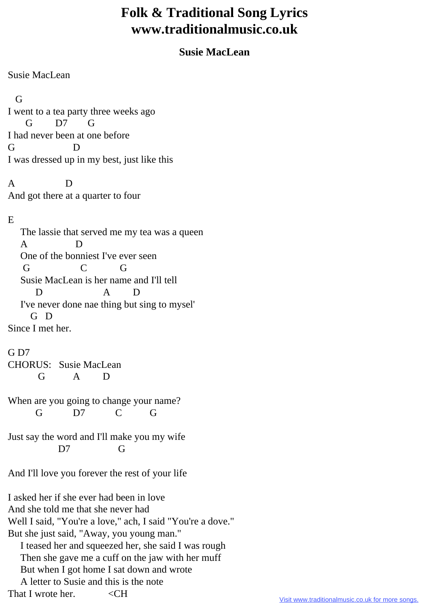## **Folk & Traditional Song Lyrics www.traditionalmusic.co.uk**

## **Susie MacLean**

Susie MacLean

G

I went to a tea party three weeks ago G D7 G I had never been at one before G D I was dressed up in my best, just like this

A D And got there at a quarter to four

## E

 The lassie that served me my tea was a queen A D One of the bonniest I've ever seen G C G Susie MacLean is her name and I'll tell D A D I've never done nae thing but sing to mysel' G D Since I met her.

G D7 CHORUS: Susie MacLean G A D

When are you going to change your name? G D7 C G

Just say the word and I'll make you my wife D7 G

And I'll love you forever the rest of your life

I asked her if she ever had been in love And she told me that she never had Well I said, "You're a love," ach, I said "You're a dove." But she just said, "Away, you young man." I teased her and squeezed her, she said I was rough Then she gave me a cuff on the jaw with her muff But when I got home I sat down and wrote A letter to Susie and this is the note That I wrote her.  $\leq$ CH